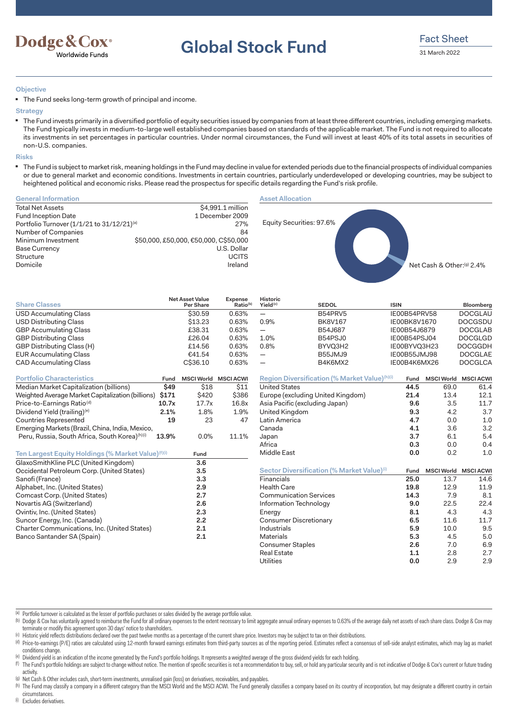

**Global Stock Fund** Fact Sheet

## **Objective**

■ The Fund seeks long-term growth of principal and income.

#### **Strategy**

■ The Fund invests primarily in a diversified portfolio of equity securities issued by companies from at least three different countries, including emerging markets. The Fund typically invests in medium-to-large well established companies based on standards of the applicable market. The Fund is not required to allocate its investments in set percentages in particular countries. Under normal circumstances, the Fund will invest at least 40% of its total assets in securities of non-U.S. companies.

### **Risks**

■ The Fund is subject to market risk, meaning holdings in the Fund may decline in value for extended periods due to the financial prospects of individual companies or due to general market and economic conditions. Investments in certain countries, particularly underdeveloped or developing countries, may be subject to heightened political and economic risks. Please read the prospectus for specific details regarding the Fund's risk profile.

### **General Information**

| <b>Total Net Assets</b>                    | \$4,991.1 million                     |
|--------------------------------------------|---------------------------------------|
| <b>Fund Inception Date</b>                 | 1 December 2009                       |
| Portfolio Turnover (1/1/21 to 31/12/21)(a) | 27%                                   |
| Number of Companies                        | 84                                    |
| Minimum Investment                         | \$50,000, £50,000, €50,000, C\$50,000 |
| <b>Base Currency</b>                       | U.S. Dollar                           |
| Structure                                  | <b>UCITS</b>                          |
| Domicile                                   | Ireland                               |

## **Asset Allocation**



| <b>Share Classes</b>                                           |       | <b>Net Asset Value</b><br>Per Share | <b>Expense</b><br>Ratio <sup>(b)</sup> | Historic<br>Yield <sup>(c)</sup> | <b>SEDOL</b>                                           | <b>ISIN</b>  |      | Bloomberg                   |
|----------------------------------------------------------------|-------|-------------------------------------|----------------------------------------|----------------------------------|--------------------------------------------------------|--------------|------|-----------------------------|
| <b>USD Accumulating Class</b>                                  |       | \$30.59                             | 0.63%                                  | $\overline{\phantom{m}}$         | B54PRV5                                                | IE00B54PRV58 |      | <b>DOCGLAU</b>              |
| <b>USD Distributing Class</b>                                  |       | \$13.23                             | 0.63%                                  | 0.9%                             | <b>BK8V167</b>                                         | IE00BK8V1670 |      | <b>DOCGSDU</b>              |
| <b>GBP Accumulating Class</b>                                  |       | £38.31                              | 0.63%                                  | $\qquad \qquad -$                | B54J687                                                | IE00B54J6879 |      | <b>DOCGLAB</b>              |
| <b>GBP Distributing Class</b>                                  |       | £26.04                              | 0.63%                                  | 1.0%                             | B54PSJ0                                                | IE00B54PSJ04 |      | <b>DOCGLGD</b>              |
| GBP Distributing Class (H)                                     |       | £14.56                              | 0.63%                                  | 0.8%                             | BYVQ3H2                                                | IE00BYVQ3H23 |      | <b>DOCGGDH</b>              |
| <b>EUR Accumulating Class</b>                                  |       | €41.54                              | 0.63%                                  | $\qquad \qquad -$                | B55JMJ9                                                | IE00B55JMJ98 |      | <b>DOCGLAE</b>              |
| <b>CAD Accumulating Class</b>                                  |       | C\$36.10                            | 0.63%                                  | $\overline{\phantom{0}}$         | B4K6MX2                                                | IE00B4K6MX26 |      | <b>DOCGLCA</b>              |
| <b>Portfolio Characteristics</b>                               | Fund  | <b>MSCI World MSCI ACWI</b>         |                                        |                                  | Region Diversification (% Market Value)(h)(i)          | Fund         |      | MSCI World MSCI ACWI        |
| Median Market Capitalization (billions)                        | \$49  | \$18                                | \$11                                   | <b>United States</b>             |                                                        | 44.5         | 69.0 | 61.4                        |
| Weighted Average Market Capitalization (billions)              | \$171 | \$420                               | \$386                                  |                                  | Europe (excluding United Kingdom)                      | 21.4         | 13.4 | 12.1                        |
| Price-to-Earnings Ratio <sup>(d)</sup>                         | 10.7x | 17.7x                               | 16.8x                                  |                                  | Asia Pacific (excluding Japan)                         | 9.6          | 3.5  | 11.7                        |
| Dividend Yield (trailing) <sup>(e)</sup>                       | 2.1%  | 1.8%                                | 1.9%                                   | United Kingdom                   |                                                        | 9.3          | 4.2  | 3.7                         |
| <b>Countries Represented</b>                                   | 19    | 23                                  | 47                                     | Latin America                    |                                                        | 4.7          | 0.0  | 1.0                         |
| Emerging Markets (Brazil, China, India, Mexico,                |       |                                     |                                        | Canada                           |                                                        | 4.1          | 3.6  | 3.2                         |
| Peru, Russia, South Africa, South Korea)(h)(i)                 | 13.9% | 0.0%                                | 11.1%                                  | Japan                            |                                                        | 3.7          | 6.1  | 5.4                         |
|                                                                |       |                                     |                                        | Africa                           |                                                        | 0.3          | 0.0  | 0.4                         |
| Ten Largest Equity Holdings (% Market Value) <sup>(f)(i)</sup> |       | Fund                                |                                        | Middle East                      |                                                        | 0.0          | 0.2  | 1.0                         |
| GlaxoSmithKline PLC (United Kingdom)                           |       | 3.6                                 |                                        |                                  |                                                        |              |      |                             |
| Occidental Petroleum Corp. (United States)                     |       | 3.5                                 |                                        |                                  | Sector Diversification (% Market Value) <sup>(i)</sup> | Fund         |      | <b>MSCI World MSCI ACWI</b> |
| Sanofi (France)                                                |       | 3.3                                 |                                        | Financials                       |                                                        | 25.0         | 13.7 | 14.6                        |
| Alphabet, Inc. (United States)                                 |       | 2.9                                 |                                        | <b>Health Care</b>               |                                                        | 19.8         | 12.9 | 11.9                        |
| Comcast Corp. (United States)                                  |       | 2.7                                 |                                        |                                  | <b>Communication Services</b>                          | 14.3         | 7.9  | 8.1                         |
| Novartis AG (Switzerland)                                      |       | 2.6                                 |                                        |                                  | Information Technology                                 | 9.0          | 22.5 | 22.4                        |
| Ovintiv, Inc. (United States)                                  |       | 2.3                                 |                                        | Energy                           |                                                        | 8.1          | 4.3  | 4.3                         |
| Suncor Energy, Inc. (Canada)                                   |       | 2.2                                 |                                        |                                  | <b>Consumer Discretionary</b>                          | 6.5          | 11.6 | 11.7                        |
| Charter Communications, Inc. (United States)                   |       | 2.1                                 |                                        | Industrials                      |                                                        | 5.9          | 10.0 | 9.5                         |
| Banco Santander SA (Spain)                                     |       | 2.1                                 |                                        | <b>Materials</b>                 |                                                        | 5.3          | 4.5  | 5.0                         |
|                                                                |       |                                     |                                        | Consumer Staples                 |                                                        | 2.6          | 7.0  | 6.9                         |
|                                                                |       |                                     |                                        | <b>Real Estate</b>               |                                                        | $1.1$        | 2.8  | 2.7                         |
|                                                                |       |                                     |                                        | <b>Utilities</b>                 |                                                        | 0.0          | 2.9  | 2.9                         |

(a) Portfolio turnover is calculated as the lesser of portfolio purchases or sales divided by the average portfolio value.

(b) Dodge & Cox has voluntarily agreed to reimburse the Fund for all ordinary expenses to the extent necessary to limit aggregate annual ordinary expenses to 0.63% of the average daily net assets of each share class. Dodge terminate or modify this agreement upon 30 days' notice to shareholders.

(c) Historic yield reflects distributions declared over the past twelve months as a percentage of the current share price. Investors may be subject to tax on their distributions.

(d) Price-to-earnings (P/E) ratios are calculated using 12-month forward earnings estimates from third-party sources as of the reporting period. Estimates reflect a consensus of sell-side analyst estimates, which may lag a conditions change.

(e) Dividend yield is an indication of the income generated by the Fund's portfolio holdings. It represents a weighted average of the gross dividend yields for each holding.

(f) The Fund's portfolio holdings are subject to change without notice. The mention of specific securities is not a recommendation to buy, sell, or hold any particular security and is not indicative of Dodge & Cox's curren activity.

(g) Net Cash & Other includes cash, short-term investments, unrealised gain (loss) on derivatives, receivables, and payables.

(h) The Fund may classify a company in a different category than the MSCI World and the MSCI ACWI. The Fund generally classifies a company based on its country of incorporation, but may designate a different country in cer circumstances.

(i) Excludes derivatives.